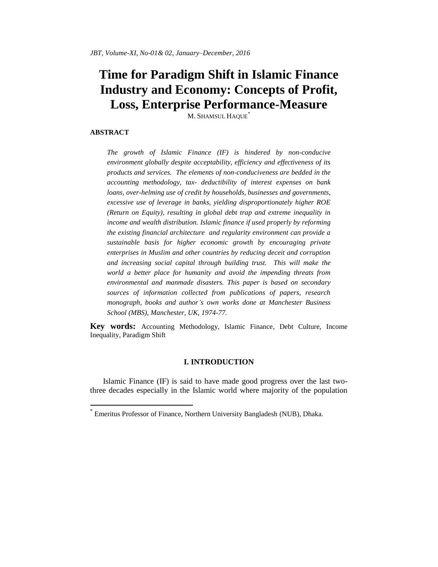# **Time for Paradigm Shift in Islamic Finance Industry and Economy: Concepts of Profit, Loss, Enterprise Performance-Measure**

M. SHAMSUL HAQUE<sup>\*</sup>

#### **ABSTRACT**

l

*The growth of Islamic Finance (IF) is hindered by non-conducive environment globally despite acceptability, efficiency and effectiveness of its products and services. The elements of non-conduciveness are bedded in the accounting methodology, tax- deductibility of interest expenses on bank loans, over-helming use of credit by households, businesses and governments, excessive use of leverage in banks, yielding disproportionately higher ROE (Return on Equity), resulting in global debt trap and extreme inequality in income and wealth distribution. Islamic finance if used properly by reforming the existing financial architecture and regularity environment can provide a sustainable basis for higher economic growth by encouraging private enterprises in Muslim and other countries by reducing deceit and corruption and increasing social capital through building trust. This will make the world a better place for humanity and avoid the impending threats from environmental and manmade disasters. This paper is based on secondary sources of information collected from publications of papers, research monograph, books and author's own works done at Manchester Business School (MBS), Manchester, UK, 1974-77.*

**Key words:** Accounting Methodology, Islamic Finance, Debt Culture, Income Inequality, Paradigm Shift

# **I. INTRODUCTION**

Islamic Finance (IF) is said to have made good progress over the last twothree decades especially in the Islamic world where majority of the population

<sup>\*</sup> Emeritus Professor of Finance, Northern University Bangladesh (NUB), Dhaka.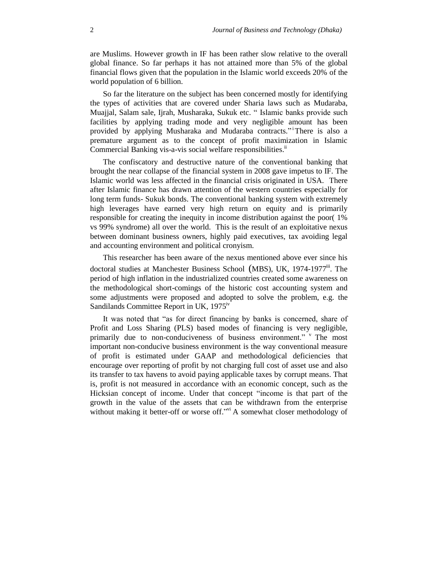are Muslims. However growth in IF has been rather slow relative to the overall global finance. So far perhaps it has not attained more than 5% of the global financial flows given that the population in the Islamic world exceeds 20% of the world population of 6 billion.

So far the literature on the subject has been concerned mostly for identifying the types of activities that are covered under Sharia laws such as Mudaraba, Muajjal, Salam sale, Ijrah, Musharaka, Sukuk etc. " Islamic banks provide such facilities by applying trading mode and very negligible amount has been provided by applying Musharaka and Mudaraba contracts." <sup>i</sup>There is also a premature argument as to the concept of profit maximization in Islamic Commercial Banking vis-a-vis social welfare responsibilities.<sup>ii</sup>

The confiscatory and destructive nature of the conventional banking that brought the near collapse of the financial system in 2008 gave impetus to IF. The Islamic world was less affected in the financial crisis originated in USA. There after Islamic finance has drawn attention of the western countries especially for long term funds- Sukuk bonds. The conventional banking system with extremely high leverages have earned very high return on equity and is primarily responsible for creating the inequity in income distribution against the poor( 1% vs 99% syndrome) all over the world. This is the result of an exploitative nexus between dominant business owners, highly paid executives, tax avoiding legal and accounting environment and political cronyism.

This researcher has been aware of the nexus mentioned above ever since his doctoral studies at Manchester Business School (MBS), UK, 1974-1977<sup>iii</sup>. The period of high inflation in the industrialized countries created some awareness on the methodological short-comings of the historic cost accounting system and some adjustments were proposed and adopted to solve the problem, e.g. the Sandilands Committee Report in UK, 1975<sup>iv</sup>

It was noted that "as for direct financing by banks is concerned, share of Profit and Loss Sharing (PLS) based modes of financing is very negligible, primarily due to non-conduciveness of business environment." The most important non-conducive business environment is the way conventional measure of profit is estimated under GAAP and methodological deficiencies that encourage over reporting of profit by not charging full cost of asset use and also its transfer to tax havens to avoid paying applicable taxes by corrupt means. That is, profit is not measured in accordance with an economic concept, such as the Hicksian concept of income. Under that concept "income is that part of the growth in the value of the assets that can be withdrawn from the enterprise without making it better-off or worse off."<sup>vi</sup> A somewhat closer methodology of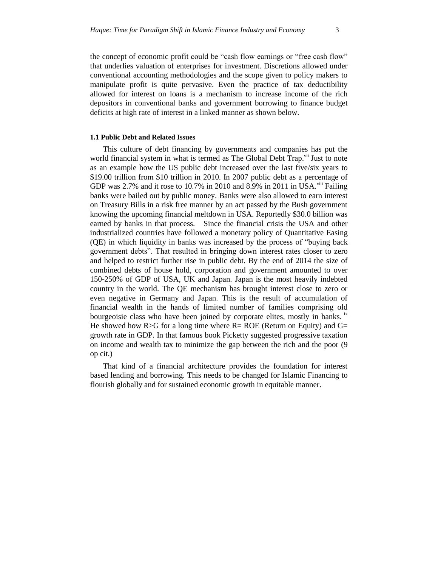the concept of economic profit could be "cash flow earnings or "free cash flow" that underlies valuation of enterprises for investment. Discretions allowed under conventional accounting methodologies and the scope given to policy makers to manipulate profit is quite pervasive. Even the practice of tax deductibility allowed for interest on loans is a mechanism to increase income of the rich depositors in conventional banks and government borrowing to finance budget deficits at high rate of interest in a linked manner as shown below.

#### **1.1 Public Debt and Related Issues**

This culture of debt financing by governments and companies has put the world financial system in what is termed as The Global Debt Trap.<sup>vii</sup> Just to note as an example how the US public debt increased over the last five/six years to \$19.00 trillion from \$10 trillion in 2010. In 2007 public debt as a percentage of GDP was 2.7% and it rose to 10.7% in 2010 and 8.9% in 2011 in USA.<sup>viii</sup> Failing banks were bailed out by public money. Banks were also allowed to earn interest on Treasury Bills in a risk free manner by an act passed by the Bush government knowing the upcoming financial meltdown in USA. Reportedly \$30.0 billion was earned by banks in that process. Since the financial crisis the USA and other industrialized countries have followed a monetary policy of Quantitative Easing (QE) in which liquidity in banks was increased by the process of "buying back government debts". That resulted in bringing down interest rates closer to zero and helped to restrict further rise in public debt. By the end of 2014 the size of combined debts of house hold, corporation and government amounted to over 150-250% of GDP of USA, UK and Japan. Japan is the most heavily indebted country in the world. The QE mechanism has brought interest close to zero or even negative in Germany and Japan. This is the result of accumulation of financial wealth in the hands of limited number of families comprising old bourgeoisie class who have been joined by corporate elites, mostly in banks. <sup>ix</sup> He showed how  $R > G$  for a long time where  $R = ROE$  (Return on Equity) and  $G =$ growth rate in GDP. In that famous book Picketty suggested progressive taxation on income and wealth tax to minimize the gap between the rich and the poor (9 op cit.)

That kind of a financial architecture provides the foundation for interest based lending and borrowing. This needs to be changed for Islamic Financing to flourish globally and for sustained economic growth in equitable manner.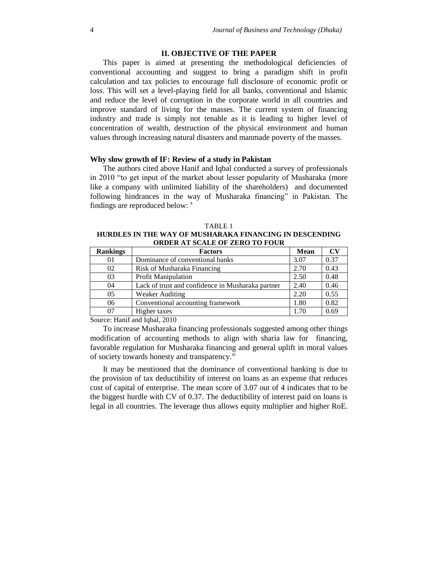#### **II. OBJECTIVE OF THE PAPER**

This paper is aimed at presenting the methodological deficiencies of conventional accounting and suggest to bring a paradigm shift in profit calculation and tax policies to encourage full disclosure of economic profit or loss. This will set a level-playing field for all banks, conventional and Islamic and reduce the level of corruption in the corporate world in all countries and improve standard of living for the masses. The current system of financing industry and trade is simply not tenable as it is leading to higher level of concentration of wealth, destruction of the physical environment and human values through increasing natural disasters and manmade poverty of the masses.

#### **Why slow growth of IF: Review of a study in Pakistan**

The authors cited above Hanif and Iqbal conducted a survey of professionals in 2010 "to get input of the market about lesser popularity of Musharaka (more like a company with unlimited liability of the shareholders) and documented following hindrances in the way of Musharaka financing" in Pakistan. The findings are reproduced below: x

| TARLE <sub>1</sub>                                      |
|---------------------------------------------------------|
| HURDLES IN THE WAY OF MUSHARAKA FINANCING IN DESCENDING |
| <b>ORDER AT SCALE OF ZERO TO FOUR</b>                   |

| <b>Rankings</b> | <b>Factors</b>                                    | <b>Mean</b> | $\mathbf{C} \mathbf{V}$ |
|-----------------|---------------------------------------------------|-------------|-------------------------|
| 01              | Dominance of conventional banks                   | 3.07        | 0.37                    |
| 02              | Risk of Musharaka Financing                       | 2.70        | 0.43                    |
| 03              | Profit Manipulation                               | 2.50        | 0.48                    |
| 04              | Lack of trust and confidence in Musharaka partner | 2.40        | 0.46                    |
| 05              | <b>Weaker Auditing</b>                            | 2.20        | 0.55                    |
| 06              | Conventional accounting framework                 | 1.80        | 0.82                    |
| 07              | Higher taxes                                      | 1.70        | 0.69                    |

Source: Hanif and Iqbal, 2010

To increase Musharaka financing professionals suggested among other things modification of accounting methods to align with sharia law for financing, favorable regulation for Musharaka financing and general uplift in moral values of society towards honesty and transparency.<sup>xi</sup>

It may be mentioned that the dominance of conventional banking is due to the provision of tax deductibility of interest on loans as an expense that reduces cost of capital of enterprise. The mean score of 3.07 out of 4 indicates that to be the biggest hurdle with CV of 0.37. The deductibility of interest paid on loans is legal in all countries. The leverage thus allows equity multiplier and higher RoE.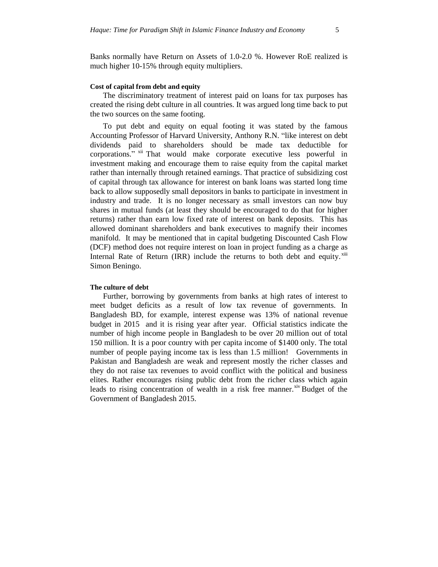Banks normally have Return on Assets of 1.0-2.0 %. However RoE realized is much higher 10-15% through equity multipliers.

## **Cost of capital from debt and equity**

The discriminatory treatment of interest paid on loans for tax purposes has created the rising debt culture in all countries. It was argued long time back to put the two sources on the same footing.

To put debt and equity on equal footing it was stated by the famous Accounting Professor of Harvard University, Anthony R.N. "like interest on debt dividends paid to shareholders should be made tax deductible for corporations." <sup>xii</sup> That would make corporate executive less powerful in investment making and encourage them to raise equity from the capital market rather than internally through retained earnings. That practice of subsidizing cost of capital through tax allowance for interest on bank loans was started long time back to allow supposedly small depositors in banks to participate in investment in industry and trade. It is no longer necessary as small investors can now buy shares in mutual funds (at least they should be encouraged to do that for higher returns) rather than earn low fixed rate of interest on bank deposits. This has allowed dominant shareholders and bank executives to magnify their incomes manifold. It may be mentioned that in capital budgeting Discounted Cash Flow (DCF) method does not require interest on loan in project funding as a charge as Internal Rate of Return (IRR) include the returns to both debt and equity. xiii Simon Beningo.

# **The culture of debt**

Further, borrowing by governments from banks at high rates of interest to meet budget deficits as a result of low tax revenue of governments. In Bangladesh BD, for example, interest expense was 13% of national revenue budget in 2015 and it is rising year after year. Official statistics indicate the number of high income people in Bangladesh to be over 20 million out of total 150 million. It is a poor country with per capita income of \$1400 only. The total number of people paying income tax is less than 1.5 million! Governments in Pakistan and Bangladesh are weak and represent mostly the richer classes and they do not raise tax revenues to avoid conflict with the political and business elites. Rather encourages rising public debt from the richer class which again leads to rising concentration of wealth in a risk free manner. $\frac{div}{dx}$  Budget of the Government of Bangladesh 2015.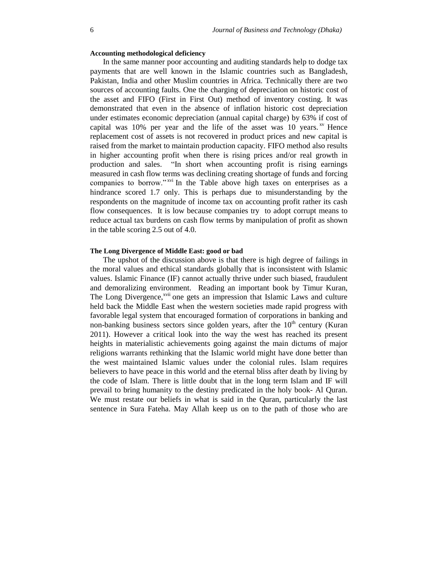#### **Accounting methodological deficiency**

In the same manner poor accounting and auditing standards help to dodge tax payments that are well known in the Islamic countries such as Bangladesh, Pakistan, India and other Muslim countries in Africa. Technically there are two sources of accounting faults. One the charging of depreciation on historic cost of the asset and FIFO (First in First Out) method of inventory costing. It was demonstrated that even in the absence of inflation historic cost depreciation under estimates economic depreciation (annual capital charge) by 63% if cost of capital was  $10\%$  per year and the life of the asset was 10 years.  $x^2$  Hence replacement cost of assets is not recovered in product prices and new capital is raised from the market to maintain production capacity. FIFO method also results in higher accounting profit when there is rising prices and/or real growth in production and sales. "In short when accounting profit is rising earnings measured in cash flow terms was declining creating shortage of funds and forcing companies to borrow."<sup>xvi</sup> In the Table above high taxes on enterprises as a hindrance scored 1.7 only. This is perhaps due to misunderstanding by the respondents on the magnitude of income tax on accounting profit rather its cash flow consequences. It is low because companies try to adopt corrupt means to reduce actual tax burdens on cash flow terms by manipulation of profit as shown in the table scoring 2.5 out of 4.0.

#### **The Long Divergence of Middle East: good or bad**

The upshot of the discussion above is that there is high degree of failings in the moral values and ethical standards globally that is inconsistent with Islamic values. Islamic Finance (IF) cannot actually thrive under such biased, fraudulent and demoralizing environment. Reading an important book by Timur Kuran, The Long Divergence,<sup>xvii</sup> one gets an impression that Islamic Laws and culture held back the Middle East when the western societies made rapid progress with favorable legal system that encouraged formation of corporations in banking and non-banking business sectors since golden years, after the  $10<sup>th</sup>$  century (Kuran 2011). However a critical look into the way the west has reached its present heights in materialistic achievements going against the main dictums of major religions warrants rethinking that the Islamic world might have done better than the west maintained Islamic values under the colonial rules. Islam requires believers to have peace in this world and the eternal bliss after death by living by the code of Islam. There is little doubt that in the long term Islam and IF will prevail to bring humanity to the destiny predicated in the holy book- Al Quran. We must restate our beliefs in what is said in the Quran, particularly the last sentence in Sura Fateha. May Allah keep us on to the path of those who are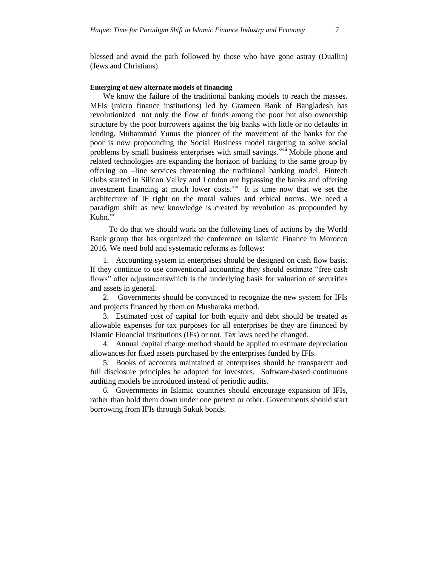blessed and avoid the path followed by those who have gone astray (Duallin) (Jews and Christians).

# **Emerging of new alternate models of financing**

We know the failure of the traditional banking models to reach the masses. MFIs (micro finance institutions) led by Grameen Bank of Bangladesh has revolutionized not only the flow of funds among the poor but also ownership structure by the poor borrowers against the big banks with little or no defaults in lending. Muhammad Yunus the pioneer of the movement of the banks for the poor is now propounding the Social Business model targeting to solve social problems by small business enterprises with small savings.<sup>xviii</sup> Mobile phone and related technologies are expanding the horizon of banking to the same group by offering on –line services threatening the traditional banking model. Fintech clubs started in Silicon Valley and London are bypassing the banks and offering investment financing at much lower costs. $\overrightarrow{xx}$  It is time now that we set the architecture of IF right on the moral values and ethical norms. We need a paradigm shift as new knowledge is created by revolution as propounded by Kuhn.<sup>xx</sup>

 To do that we should work on the following lines of actions by the World Bank group that has organized the conference on Islamic Finance in Morocco 2016. We need bold and systematic reforms as follows:

1. Accounting system in enterprises should be designed on cash flow basis. If they continue to use conventional accounting they should estimate "free cash flows" after adjustmentswhich is the underlying basis for valuation of securities and assets in general.

2. Governments should be convinced to recognize the new system for IFIs and projects financed by them on Musharaka method.

3. Estimated cost of capital for both equity and debt should be treated as allowable expenses for tax purposes for all enterprises be they are financed by Islamic Financial Institutions (IFs) or not. Tax laws need be changed.

4. Annual capital charge method should be applied to estimate depreciation allowances for fixed assets purchased by the enterprises funded by IFIs.

5. Books of accounts maintained at enterprises should be transparent and full disclosure principles be adopted for investors. Software-based continuous auditing models be introduced instead of periodic audits.

6. Governments in Islamic countries should encourage expansion of IFIs, rather than hold them down under one pretext or other. Governments should start borrowing from IFIs through Sukuk bonds.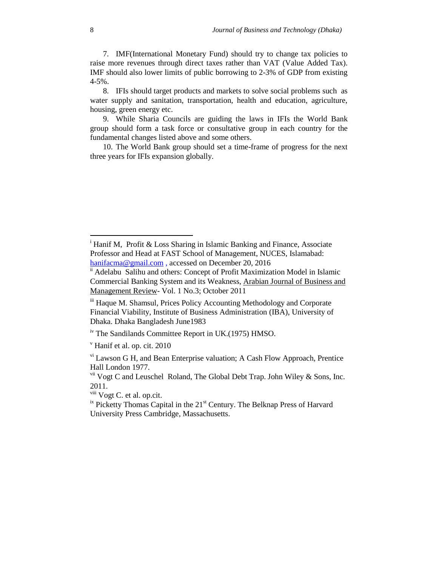7. IMF(International Monetary Fund) should try to change tax policies to raise more revenues through direct taxes rather than VAT (Value Added Tax). IMF should also lower limits of public borrowing to 2-3% of GDP from existing 4-5%.

8. IFIs should target products and markets to solve social problems such as water supply and sanitation, transportation, health and education, agriculture, housing, green energy etc.

9. While Sharia Councils are guiding the laws in IFIs the World Bank group should form a task force or consultative group in each country for the fundamental changes listed above and some others.

10. The World Bank group should set a time-frame of progress for the next three years for IFIs expansion globally.

iv The Sandilands Committee Report in UK.(1975) HMSO.

<sup>v</sup> Hanif et al. op. cit. 2010

<sup>vi</sup> Lawson G H, and Bean Enterprise valuation; A Cash Flow Approach, Prentice Hall London 1977.

<sup>vii</sup> Vogt C and Leuschel Roland, The Global Debt Trap. John Wiley & Sons, Inc. 2011.

 $\overline{a}$ 

<sup>&</sup>lt;sup>i</sup> Hanif M, Profit & Loss Sharing in Islamic Banking and Finance, Associate Professor and Head at FAST School of Management, NUCES, Islamabad: [hanifacma@gmail.com](mailto:hanifacma@gmail.com) , accessed on December 20, 2016

ii Adelabu Salihu and others: Concept of Profit Maximization Model in Islamic Commercial Banking System and its Weakness, Arabian Journal of Business and Management Review- Vol. 1 No.3; October 2011

iii Haque M. Shamsul, Prices Policy Accounting Methodology and Corporate Financial Viability, Institute of Business Administration (IBA), University of Dhaka. Dhaka Bangladesh June1983

viii Vogt C. et al. op.cit.

 $\frac{1}{10}$  Picketty Thomas Capital in the 21<sup>st</sup> Century. The Belknap Press of Harvard University Press Cambridge, Massachusetts.